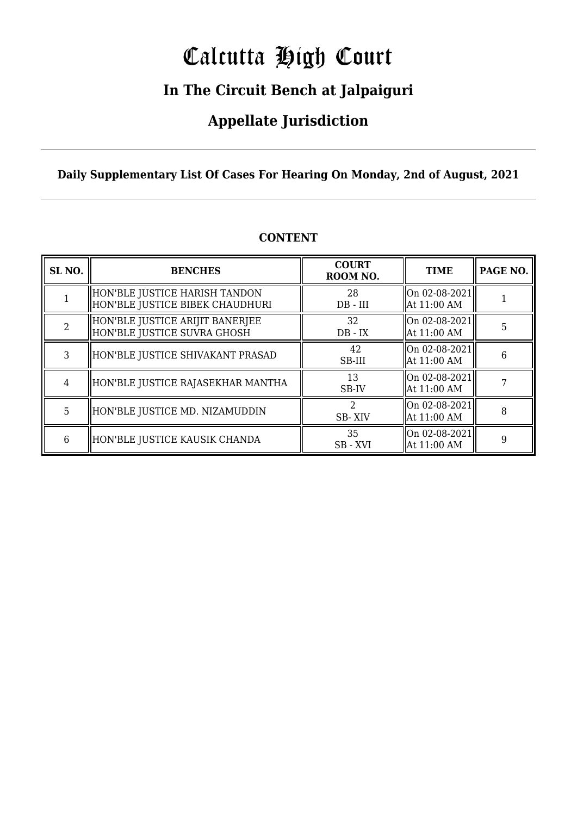# Calcutta High Court

### **In The Circuit Bench at Jalpaiguri**

### **Appellate Jurisdiction**

**Daily Supplementary List Of Cases For Hearing On Monday, 2nd of August, 2021**

| SL <sub>NO.</sub> | <b>BENCHES</b>                                                   | <b>COURT</b><br>ROOM NO.              | <b>TIME</b>                      | PAGE NO. |
|-------------------|------------------------------------------------------------------|---------------------------------------|----------------------------------|----------|
|                   | HON'BLE JUSTICE HARISH TANDON<br>HON'BLE JUSTICE BIBEK CHAUDHURI | 28<br>$DB$ - $III$                    | On 02-08-2021<br>At 11:00 AM     |          |
| $\mathcal{D}$     | HON'BLE JUSTICE ARIJIT BANERJEE<br>HON'BLE JUSTICE SUVRA GHOSH   | 32<br>$DB - IX$                       | $ On 02-08-2021 $<br>At 11:00 AM | 5        |
| 3                 | HON'BLE JUSTICE SHIVAKANT PRASAD                                 | 42<br>SB-III                          | On 02-08-2021<br>At 11:00 AM     | 6        |
| $\overline{4}$    | HON'BLE JUSTICE RAJASEKHAR MANTHA                                | 13<br>SB-IV                           | On 02-08-2021<br>At 11:00 AM     |          |
| 5                 | HON'BLE JUSTICE MD. NIZAMUDDIN                                   | $\mathcal{D}_{\mathcal{L}}$<br>SB-XIV | On 02-08-2021<br>At 11:00 AM     | 8        |
| 6                 | HON'BLE JUSTICE KAUSIK CHANDA                                    | 35<br>SB-XVI                          | On 02-08-2021<br>At 11:00 AM     | 9        |

#### **CONTENT**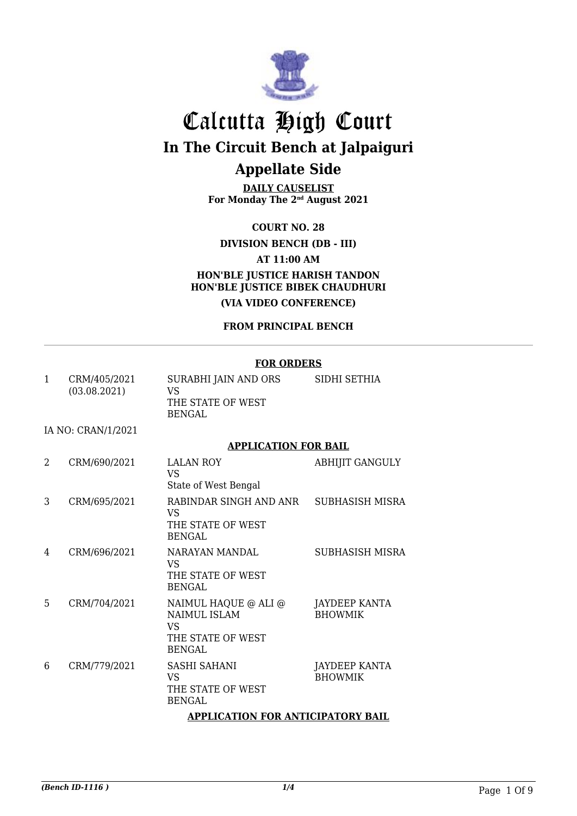

**DAILY CAUSELIST For Monday The 2nd August 2021**

**COURT NO. 28**

#### **DIVISION BENCH (DB - III)**

**AT 11:00 AM**

**HON'BLE JUSTICE HARISH TANDON HON'BLE JUSTICE BIBEK CHAUDHURI (VIA VIDEO CONFERENCE)**

#### **FROM PRINCIPAL BENCH**

#### **FOR ORDERS**

|              |                              | FUK UKDEKS                                                                              |                                        |  |
|--------------|------------------------------|-----------------------------------------------------------------------------------------|----------------------------------------|--|
| $\mathbf{1}$ | CRM/405/2021<br>(03.08.2021) | SURABHI JAIN AND ORS<br><b>VS</b><br>THE STATE OF WEST<br><b>BENGAL</b>                 | SIDHI SETHIA                           |  |
|              | IA NO: CRAN/1/2021           |                                                                                         |                                        |  |
|              |                              | <b>APPLICATION FOR BAIL</b>                                                             |                                        |  |
| 2            | CRM/690/2021                 | <b>LALAN ROY</b><br><b>VS</b><br>State of West Bengal                                   | <b>ABHIJIT GANGULY</b>                 |  |
| 3            | CRM/695/2021                 | RABINDAR SINGH AND ANR<br><b>VS</b><br>THE STATE OF WEST<br><b>BENGAL</b>               | SUBHASISH MISRA                        |  |
| 4            | CRM/696/2021                 | NARAYAN MANDAL<br><b>VS</b><br>THE STATE OF WEST<br><b>BENGAL</b>                       | <b>SUBHASISH MISRA</b>                 |  |
| 5            | CRM/704/2021                 | NAIMUL HAQUE @ ALI @<br><b>NAIMUL ISLAM</b><br><b>VS</b><br>THE STATE OF WEST<br>BENGAL | <b>JAYDEEP KANTA</b><br><b>BHOWMIK</b> |  |
| 6            | CRM/779/2021                 | <b>SASHI SAHANI</b><br><b>VS</b><br>THE STATE OF WEST<br><b>BENGAL</b>                  | <b>JAYDEEP KANTA</b><br><b>BHOWMIK</b> |  |
|              |                              | <b>APPLICATION FOR ANTICIPATORY BAIL</b>                                                |                                        |  |
|              |                              |                                                                                         |                                        |  |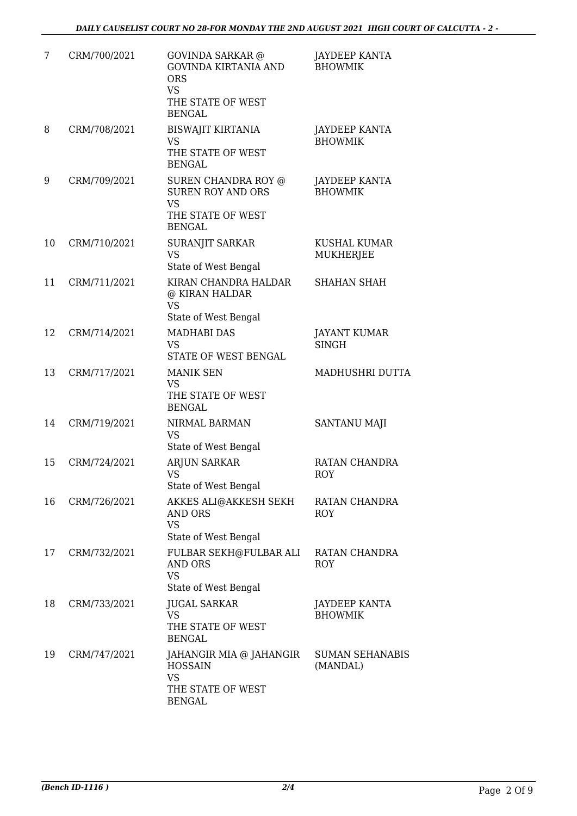| 7  | CRM/700/2021 | <b>GOVINDA SARKAR</b> @<br><b>GOVINDA KIRTANIA AND</b><br><b>ORS</b><br><b>VS</b><br>THE STATE OF WEST | <b>JAYDEEP KANTA</b><br><b>BHOWMIK</b> |
|----|--------------|--------------------------------------------------------------------------------------------------------|----------------------------------------|
| 8  | CRM/708/2021 | <b>BENGAL</b><br><b>BISWAJIT KIRTANIA</b><br><b>VS</b><br>THE STATE OF WEST<br><b>BENGAL</b>           | JAYDEEP KANTA<br><b>BHOWMIK</b>        |
| 9  | CRM/709/2021 | SUREN CHANDRA ROY @<br><b>SUREN ROY AND ORS</b><br><b>VS</b><br>THE STATE OF WEST<br><b>BENGAL</b>     | JAYDEEP KANTA<br><b>BHOWMIK</b>        |
| 10 | CRM/710/2021 | SURANJIT SARKAR<br><b>VS</b><br>State of West Bengal                                                   | KUSHAL KUMAR<br><b>MUKHERJEE</b>       |
| 11 | CRM/711/2021 | KIRAN CHANDRA HALDAR<br>@ KIRAN HALDAR<br><b>VS</b>                                                    | <b>SHAHAN SHAH</b>                     |
| 12 | CRM/714/2021 | State of West Bengal<br><b>MADHABI DAS</b><br><b>VS</b><br>STATE OF WEST BENGAL                        | <b>JAYANT KUMAR</b><br><b>SINGH</b>    |
| 13 | CRM/717/2021 | <b>MANIK SEN</b><br><b>VS</b><br>THE STATE OF WEST<br><b>BENGAL</b>                                    | MADHUSHRI DUTTA                        |
| 14 | CRM/719/2021 | NIRMAL BARMAN<br><b>VS</b><br>State of West Bengal                                                     | SANTANU MAJI                           |
| 15 | CRM/724/2021 | ARJUN SARKAR<br><b>VS</b><br>State of West Bengal                                                      | RATAN CHANDRA<br><b>ROY</b>            |
| 16 | CRM/726/2021 | AKKES ALI@AKKESH SEKH<br>AND ORS<br><b>VS</b><br>State of West Bengal                                  | RATAN CHANDRA<br><b>ROY</b>            |
| 17 | CRM/732/2021 | FULBAR SEKH@FULBAR ALI<br>AND ORS<br><b>VS</b><br>State of West Bengal                                 | RATAN CHANDRA<br><b>ROY</b>            |
| 18 | CRM/733/2021 | <b>JUGAL SARKAR</b><br><b>VS</b><br>THE STATE OF WEST<br><b>BENGAL</b>                                 | JAYDEEP KANTA<br><b>BHOWMIK</b>        |
| 19 | CRM/747/2021 | JAHANGIR MIA @ JAHANGIR<br><b>HOSSAIN</b><br><b>VS</b><br>THE STATE OF WEST<br><b>BENGAL</b>           | <b>SUMAN SEHANABIS</b><br>(MANDAL)     |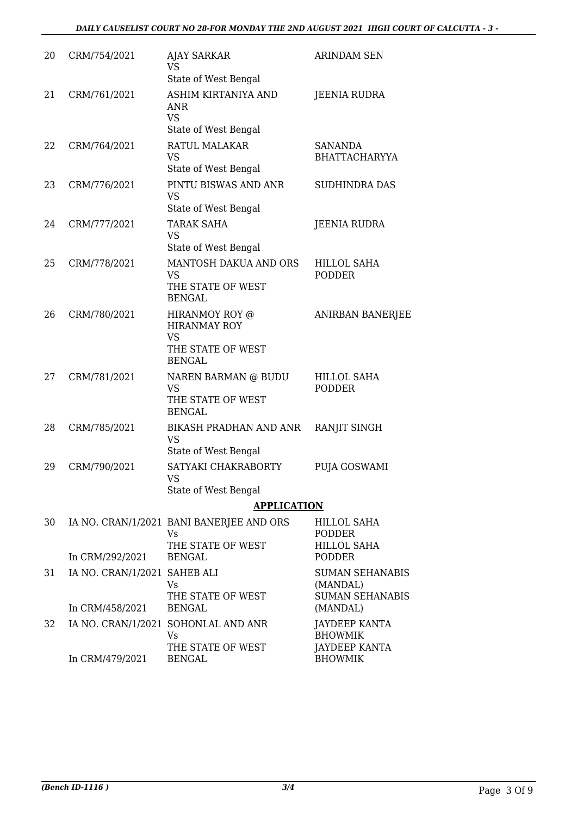| 20 | CRM/754/2021                 | <b>AJAY SARKAR</b><br>VS                       | <b>ARINDAM SEN</b>                     |
|----|------------------------------|------------------------------------------------|----------------------------------------|
|    |                              | State of West Bengal                           |                                        |
| 21 | CRM/761/2021                 | ASHIM KIRTANIYA AND<br><b>ANR</b><br><b>VS</b> | JEENIA RUDRA                           |
|    |                              | State of West Bengal                           |                                        |
| 22 | CRM/764/2021                 | RATUL MALAKAR<br><b>VS</b>                     | <b>SANANDA</b><br><b>BHATTACHARYYA</b> |
|    |                              | State of West Bengal                           |                                        |
| 23 | CRM/776/2021                 | PINTU BISWAS AND ANR<br><b>VS</b>              | <b>SUDHINDRA DAS</b>                   |
|    |                              | State of West Bengal                           |                                        |
| 24 | CRM/777/2021                 | <b>TARAK SAHA</b><br><b>VS</b>                 | <b>JEENIA RUDRA</b>                    |
|    |                              | State of West Bengal                           |                                        |
| 25 | CRM/778/2021                 | MANTOSH DAKUA AND ORS<br><b>VS</b>             | <b>HILLOL SAHA</b><br><b>PODDER</b>    |
|    |                              | THE STATE OF WEST<br><b>BENGAL</b>             |                                        |
| 26 | CRM/780/2021                 | HIRANMOY ROY @<br><b>HIRANMAY ROY</b><br>VS    | ANIRBAN BANERJEE                       |
|    |                              | THE STATE OF WEST<br><b>BENGAL</b>             |                                        |
| 27 | CRM/781/2021                 | NAREN BARMAN @ BUDU<br>VS                      | <b>HILLOL SAHA</b><br><b>PODDER</b>    |
|    |                              | THE STATE OF WEST<br><b>BENGAL</b>             |                                        |
| 28 | CRM/785/2021                 | <b>BIKASH PRADHAN AND ANR</b><br>VS            | RANJIT SINGH                           |
|    |                              | State of West Bengal                           |                                        |
| 29 | CRM/790/2021                 | SATYAKI CHAKRABORTY<br>VS                      | PUJA GOSWAMI                           |
|    |                              | State of West Bengal                           |                                        |
|    |                              | <b>APPLICATION</b>                             |                                        |
| 30 |                              | IA NO. CRAN/1/2021 BANI BANERJEE AND ORS<br>Vs | <b>HILLOL SAHA</b><br><b>PODDER</b>    |
|    | In CRM/292/2021              | THE STATE OF WEST<br><b>BENGAL</b>             | <b>HILLOL SAHA</b><br><b>PODDER</b>    |
| 31 | IA NO. CRAN/1/2021 SAHEB ALI | Vs                                             | <b>SUMAN SEHANABIS</b><br>(MANDAL)     |
|    | In CRM/458/2021              | THE STATE OF WEST<br><b>BENGAL</b>             | <b>SUMAN SEHANABIS</b><br>(MANDAL)     |
| 32 |                              | IA NO. CRAN/1/2021 SOHONLAL AND ANR<br>Vs      | JAYDEEP KANTA<br><b>BHOWMIK</b>        |
|    | In CRM/479/2021              | THE STATE OF WEST<br><b>BENGAL</b>             | <b>JAYDEEP KANTA</b><br><b>BHOWMIK</b> |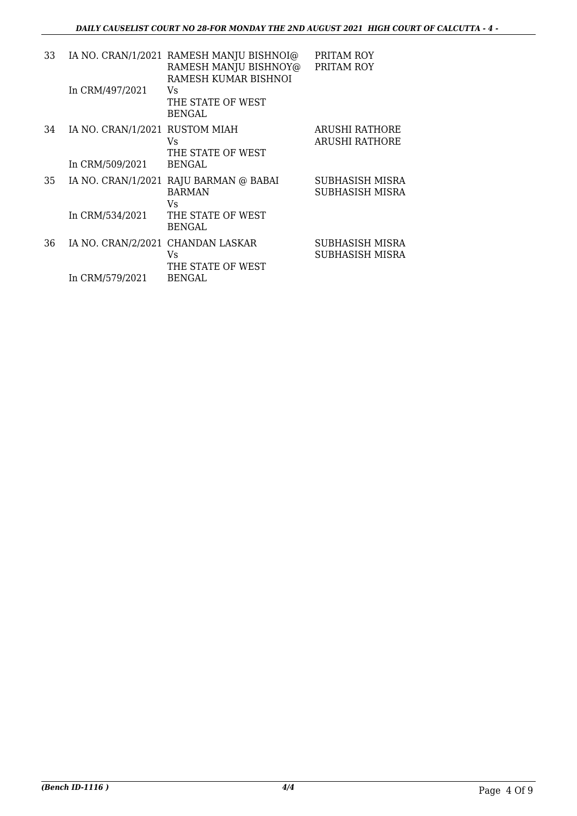| 33 |                                                   | IA NO. CRAN/1/2021 RAMESH MANJU BISHNOI@<br>RAMESH MANJU BISHNOY@<br>RAMESH KUMAR BISHNOI | PRITAM ROY<br>PRITAM ROY                |
|----|---------------------------------------------------|-------------------------------------------------------------------------------------------|-----------------------------------------|
|    | In CRM/497/2021                                   | Vs<br>THE STATE OF WEST<br><b>BENGAL</b>                                                  |                                         |
| 34 | IA NO. CRAN/1/2021 RUSTOM MIAH<br>In CRM/509/2021 | Vs<br>THE STATE OF WEST<br><b>BENGAL</b>                                                  | ARUSHI RATHORE<br><b>ARUSHI RATHORE</b> |
| 35 |                                                   | IA NO. CRAN/1/2021 RAJU BARMAN @ BABAI<br><b>BARMAN</b><br>Vs                             | SUBHASISH MISRA<br>SUBHASISH MISRA      |
|    | In CRM/534/2021                                   | THE STATE OF WEST<br>BENGAL                                                               |                                         |
| 36 | IA NO. CRAN/2/2021 CHANDAN LASKAR                 | Vs<br>THE STATE OF WEST                                                                   | SUBHASISH MISRA<br>SUBHASISH MISRA      |
|    | In CRM/579/2021                                   | BENGAL                                                                                    |                                         |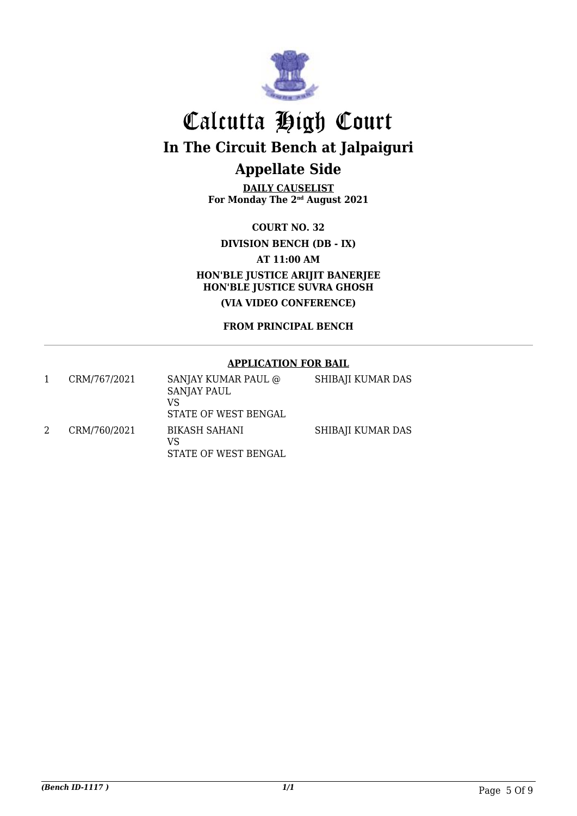

**DAILY CAUSELIST For Monday The 2nd August 2021**

**COURT NO. 32**

**DIVISION BENCH (DB - IX)**

**AT 11:00 AM**

**HON'BLE JUSTICE ARIJIT BANERJEE HON'BLE JUSTICE SUVRA GHOSH**

**(VIA VIDEO CONFERENCE)**

**FROM PRINCIPAL BENCH**

#### **APPLICATION FOR BAIL**

| CRM/767/2021 | SANJAY KUMAR PAUL @<br><b>SANJAY PAUL</b><br>VS<br>STATE OF WEST BENGAL | SHIBAJI KUMAR DAS |
|--------------|-------------------------------------------------------------------------|-------------------|
| CRM/760/2021 | BIKASH SAHANI<br>VS<br>STATE OF WEST BENGAL                             | SHIBAJI KUMAR DAS |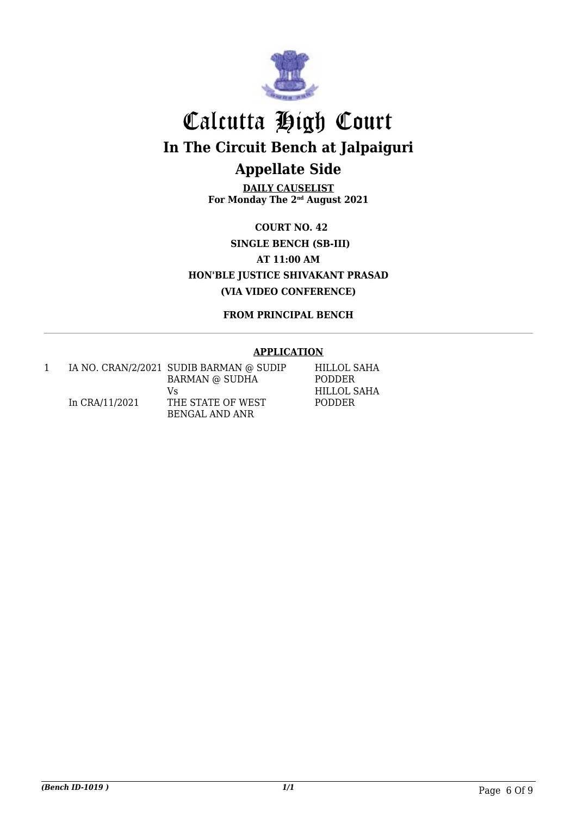

**DAILY CAUSELIST For Monday The 2nd August 2021**

**COURT NO. 42 SINGLE BENCH (SB-III) AT 11:00 AM HON'BLE JUSTICE SHIVAKANT PRASAD (VIA VIDEO CONFERENCE)**

**FROM PRINCIPAL BENCH**

#### **APPLICATION**

|                | IA NO. CRAN/2/2021 SUDIB BARMAN @ SUDIP | HILLOL SAHA   |
|----------------|-----------------------------------------|---------------|
|                | <b>BARMAN @ SUDHA</b>                   | <b>PODDER</b> |
|                | Vs                                      | HILLOL SAHA   |
| In CRA/11/2021 | THE STATE OF WEST                       | <b>PODDER</b> |
|                | BENGAL AND ANR                          |               |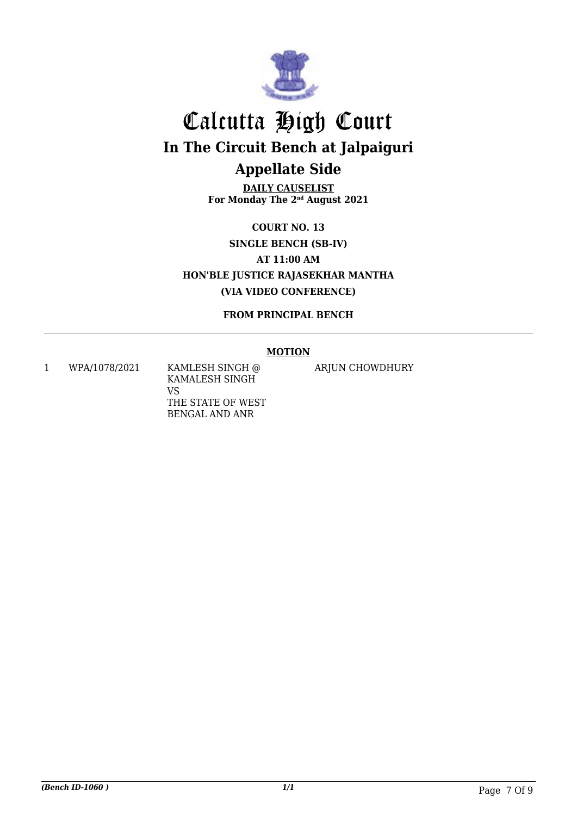

**DAILY CAUSELIST For Monday The 2nd August 2021**

**COURT NO. 13 SINGLE BENCH (SB-IV) AT 11:00 AM HON'BLE JUSTICE RAJASEKHAR MANTHA (VIA VIDEO CONFERENCE)**

**FROM PRINCIPAL BENCH**

#### **MOTION**

1 WPA/1078/2021 KAMLESH SINGH @ KAMALESH SINGH VS THE STATE OF WEST BENGAL AND ANR

ARJUN CHOWDHURY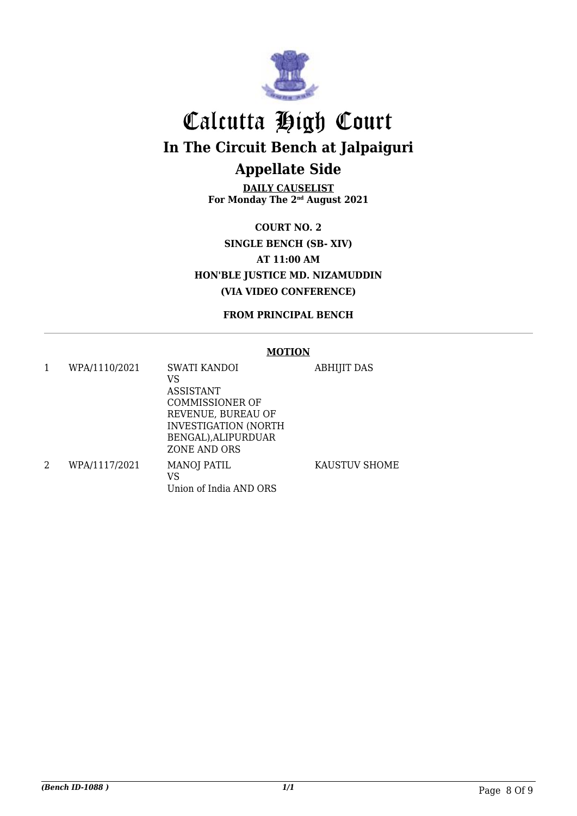

**DAILY CAUSELIST For Monday The 2nd August 2021**

**COURT NO. 2 SINGLE BENCH (SB- XIV) AT 11:00 AM HON'BLE JUSTICE MD. NIZAMUDDIN (VIA VIDEO CONFERENCE)**

**FROM PRINCIPAL BENCH**

#### **MOTION**

1 WPA/1110/2021 SWATI KANDOI VS ASSISTANT COMMISSIONER OF REVENUE, BUREAU OF INVESTIGATION (NORTH BENGAL),ALIPURDUAR ZONE AND ORS ABHIJIT DAS 2 WPA/1117/2021 MANOJ PATIL VS Union of India AND ORS KAUSTUV SHOME